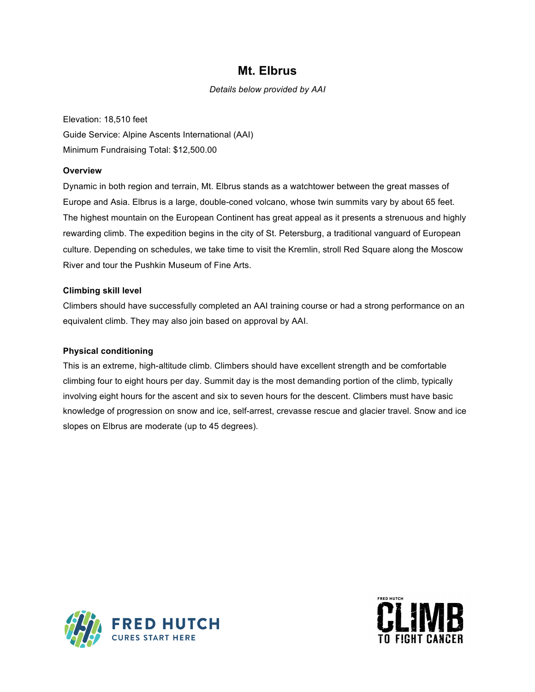## **Mt. Elbrus**

*Details below provided by AAI*

Elevation: 18,510 feet Guide Service: Alpine Ascents International (AAI) Minimum Fundraising Total: \$12,500.00

### **Overview**

Dynamic in both region and terrain, Mt. Elbrus stands as a watchtower between the great masses of Europe and Asia. Elbrus is a large, double-coned volcano, whose twin summits vary by about 65 feet. The highest mountain on the European Continent has great appeal as it presents a strenuous and highly rewarding climb. The expedition begins in the city of St. Petersburg, a traditional vanguard of European culture. Depending on schedules, we take time to visit the Kremlin, stroll Red Square along the Moscow River and tour the Pushkin Museum of Fine Arts.

#### **Climbing skill level**

Climbers should have successfully completed an AAI training course or had a strong performance on an equivalent climb. They may also join based on approval by AAI.

### **Physical conditioning**

This is an extreme, high-altitude climb. Climbers should have excellent strength and be comfortable climbing four to eight hours per day. Summit day is the most demanding portion of the climb, typically involving eight hours for the ascent and six to seven hours for the descent. Climbers must have basic knowledge of progression on snow and ice, self-arrest, crevasse rescue and glacier travel. Snow and ice slopes on Elbrus are moderate (up to 45 degrees).



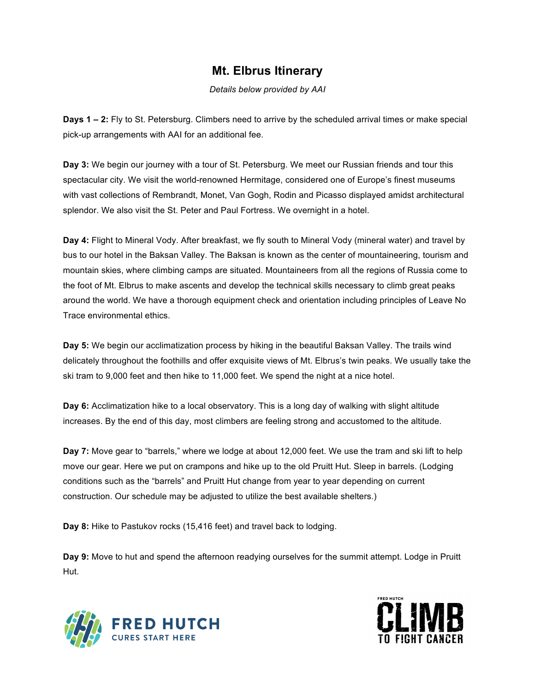# **Mt. Elbrus Itinerary**

*Details below provided by AAI*

**Days 1 – 2:** Fly to St. Petersburg. Climbers need to arrive by the scheduled arrival times or make special pick-up arrangements with AAI for an additional fee.

**Day 3:** We begin our journey with a tour of St. Petersburg. We meet our Russian friends and tour this spectacular city. We visit the world-renowned Hermitage, considered one of Europe's finest museums with vast collections of Rembrandt, Monet, Van Gogh, Rodin and Picasso displayed amidst architectural splendor. We also visit the St. Peter and Paul Fortress. We overnight in a hotel.

**Day 4:** Flight to Mineral Vody. After breakfast, we fly south to Mineral Vody (mineral water) and travel by bus to our hotel in the Baksan Valley. The Baksan is known as the center of mountaineering, tourism and mountain skies, where climbing camps are situated. Mountaineers from all the regions of Russia come to the foot of Mt. Elbrus to make ascents and develop the technical skills necessary to climb great peaks around the world. We have a thorough equipment check and orientation including principles of Leave No Trace environmental ethics.

**Day 5:** We begin our acclimatization process by hiking in the beautiful Baksan Valley. The trails wind delicately throughout the foothills and offer exquisite views of Mt. Elbrus's twin peaks. We usually take the ski tram to 9,000 feet and then hike to 11,000 feet. We spend the night at a nice hotel.

**Day 6:** Acclimatization hike to a local observatory. This is a long day of walking with slight altitude increases. By the end of this day, most climbers are feeling strong and accustomed to the altitude.

**Day 7:** Move gear to "barrels," where we lodge at about 12,000 feet. We use the tram and ski lift to help move our gear. Here we put on crampons and hike up to the old Pruitt Hut. Sleep in barrels. (Lodging conditions such as the "barrels" and Pruitt Hut change from year to year depending on current construction. Our schedule may be adjusted to utilize the best available shelters.)

**Day 8:** Hike to Pastukov rocks (15,416 feet) and travel back to lodging.

**Day 9:** Move to hut and spend the afternoon readying ourselves for the summit attempt. Lodge in Pruitt Hut.